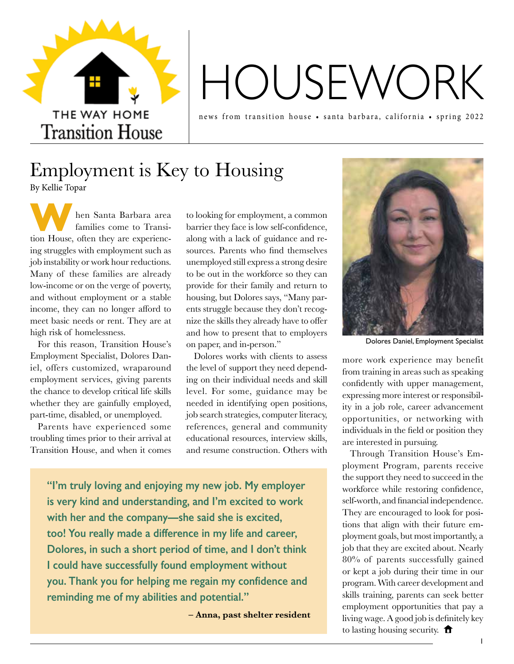

# HOUSEWORK

news from transition house • santa barbara, california • spring 2022

### Employment is Key to Housing By Kellie Topar

**WE ARE NOTE AND ARE SERVIET A SANDARY SERVIET AND THE SERVIET OF THE SERVIET OF THE SERVIET OF THE SERVIET OF THE SERVIET OF SERVIET OF THE SERVIET OF THE SERVIET OF THE SERVIET OF THE SERVIET OF THE SERVIET OF THE SERVIE** hen Santa Barbara area families come to Transiing struggles with employment such as job instability or work hour reductions. Many of these families are already low-income or on the verge of poverty, and without employment or a stable income, they can no longer afford to meet basic needs or rent. They are at high risk of homelessness.

For this reason, Transition House's Employment Specialist, Dolores Daniel, offers customized, wraparound employment services, giving parents the chance to develop critical life skills whether they are gainfully employed, part-time, disabled, or unemployed.

Parents have experienced some troubling times prior to their arrival at Transition House, and when it comes

to looking for employment, a common barrier they face is low self-confidence, along with a lack of guidance and resources. Parents who find themselves unemployed still express a strong desire to be out in the workforce so they can provide for their family and return to housing, but Dolores says, "Many parents struggle because they don't recognize the skills they already have to offer and how to present that to employers on paper, and in-person."

Dolores works with clients to assess the level of support they need depending on their individual needs and skill level. For some, guidance may be needed in identifying open positions, job search strategies, computer literacy, references, general and community educational resources, interview skills, and resume construction. Others with

**"I'm truly loving and enjoying my new job. My employer is very kind and understanding, and I'm excited to work with her and the company—she said she is excited, too! You really made a difference in my life and career, Dolores, in such a short period of time, and I don't think I could have successfully found employment without you. Thank you for helping me regain my confidence and reminding me of my abilities and potential."** 

**– Anna, past shelter resident**



Dolores Daniel, Employment Specialist

more work experience may benefit from training in areas such as speaking confidently with upper management, expressing more interest or responsibility in a job role, career advancement opportunities, or networking with individuals in the field or position they are interested in pursuing.

Through Transition House's Employment Program, parents receive the support they need to succeed in the workforce while restoring confidence, self-worth, and financial independence. They are encouraged to look for positions that align with their future employment goals, but most importantly, a job that they are excited about. Nearly 80% of parents successfully gained or kept a job during their time in our program. With career development and skills training, parents can seek better employment opportunities that pay a living wage. A good job is definitely key to lasting housing security.  $\biguparrow$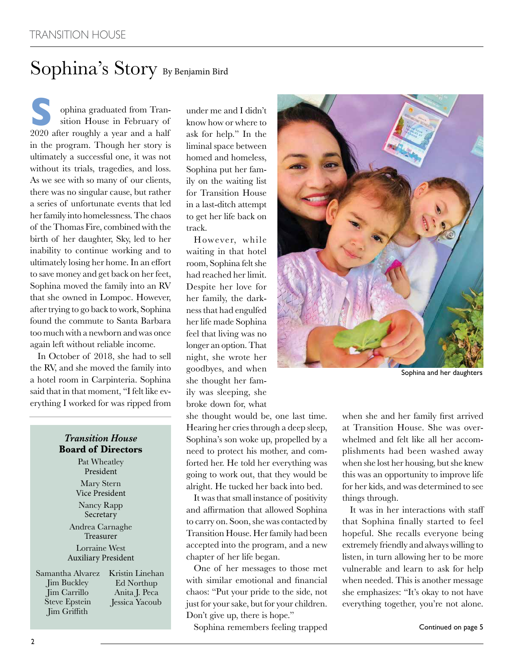# Sophina's Story By Benjamin Bird

**S** 2020 after roughly a year and a half ophina graduated from Transition House in February of in the program. Though her story is ultimately a successful one, it was not without its trials, tragedies, and loss. As we see with so many of our clients, there was no singular cause, but rather a series of unfortunate events that led her family into homelessness. The chaos of the Thomas Fire, combined with the birth of her daughter, Sky, led to her inability to continue working and to ultimately losing her home. In an effort to save money and get back on her feet, Sophina moved the family into an RV that she owned in Lompoc. However, after trying to go back to work, Sophina found the commute to Santa Barbara too much with a newborn and was once again left without reliable income.

In October of 2018, she had to sell the RV, and she moved the family into a hotel room in Carpinteria. Sophina said that in that moment, "I felt like everything I worked for was ripped from

#### *Transition House*  **Board of Directors**

Pat Wheatley President Mary Stern Vice President Nancy Rapp Secretary Andrea Carnaghe Treasurer Lorraine West Auxiliary President

| Samantha Alvarez     | Kristin Linehan |
|----------------------|-----------------|
| Jim Buckley          | Ed Northup      |
| Jim Carrillo         | Anita J. Peca   |
| <b>Steve Epstein</b> | Jessica Yacoub  |
| Jim Griffith         |                 |

under me and I didn't know how or where to ask for help." In the liminal space between homed and homeless, Sophina put her family on the waiting list for Transition House in a last-ditch attempt to get her life back on track.

However, while waiting in that hotel room, Sophina felt she had reached her limit. Despite her love for her family, the darkness that had engulfed her life made Sophina feel that living was no longer an option. That night, she wrote her goodbyes, and when she thought her family was sleeping, she broke down for, what

she thought would be, one last time. Hearing her cries through a deep sleep, Sophina's son woke up, propelled by a need to protect his mother, and comforted her. He told her everything was going to work out, that they would be alright. He tucked her back into bed.

It was that small instance of positivity and affirmation that allowed Sophina to carry on. Soon, she was contacted by Transition House. Her family had been accepted into the program, and a new chapter of her life began.

One of her messages to those met with similar emotional and financial chaos: "Put your pride to the side, not just for your sake, but for your children. Don't give up, there is hope."

Sophina remembers feeling trapped



Sophina and her daughters

when she and her family first arrived at Transition House. She was overwhelmed and felt like all her accomplishments had been washed away when she lost her housing, but she knew this was an opportunity to improve life for her kids, and was determined to see things through.

It was in her interactions with staff that Sophina finally started to feel hopeful. She recalls everyone being extremely friendly and always willing to listen, in turn allowing her to be more vulnerable and learn to ask for help when needed. This is another message she emphasizes: "It's okay to not have everything together, you're not alone.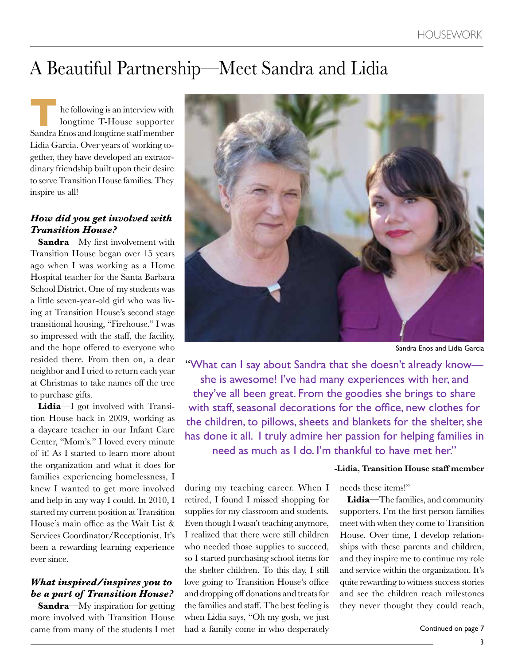# A Beautiful Partnership—Meet Sandra and Lidia

**THE SANDRY ENDING**<br>
THE SANDRY ENDING MOVID AND RESPOND TO SANDRY SANDRY SANDRY SANDRY SANDRY SANDRY SANDRY STATES OF SANDRY STATES SANDRY STATES OF SANDRY STATES OF SANDRY STATES OF SANDRY STATES SANDRY STATES OF SANDRY he following is an interview with longtime T-House supporter Lidia Garcia. Over years of working together, they have developed an extraordinary friendship built upon their desire to serve Transition House families. They inspire us all!

#### *How did you get involved with Transition House?*

**Sandra**—My first involvement with Transition House began over 15 years ago when I was working as a Home Hospital teacher for the Santa Barbara School District. One of my students was a little seven-year-old girl who was living at Transition House's second stage transitional housing, "Firehouse." I was so impressed with the staff, the facility, and the hope offered to everyone who resided there. From then on, a dear neighbor and I tried to return each year at Christmas to take names off the tree to purchase gifts.

**Lidia**—I got involved with Transition House back in 2009, working as a daycare teacher in our Infant Care Center, "Mom's." I loved every minute of it! As I started to learn more about the organization and what it does for families experiencing homelessness, I knew I wanted to get more involved and help in any way I could. In 2010, I started my current position at Transition House's main office as the Wait List & Services Coordinator/Receptionist. It's been a rewarding learning experience ever since.

#### *What inspired/inspires you to be a part of Transition House?*

**Sandra**—My inspiration for getting more involved with Transition House came from many of the students I met



Sandra Enos and Lidia Garcia

"What can I say about Sandra that she doesn't already know she is awesome! I've had many experiences with her, and they've all been great. From the goodies she brings to share with staff, seasonal decorations for the office, new clothes for the children, to pillows, sheets and blankets for the shelter, she has done it all. I truly admire her passion for helping families in need as much as I do. I'm thankful to have met her."

during my teaching career. When I retired, I found I missed shopping for supplies for my classroom and students. Even though I wasn't teaching anymore, I realized that there were still children who needed those supplies to succeed, so I started purchasing school items for the shelter children. To this day, I still love going to Transition House's office and dropping off donations and treats for the families and staff. The best feeling is when Lidia says, "Oh my gosh, we just had a family come in who desperately

**-Lidia, Transition House staff member**

needs these items!"

**Lidia**—The families, and community supporters. I'm the first person families meet with when they come to Transition House. Over time, I develop relationships with these parents and children, and they inspire me to continue my role and service within the organization. It's quite rewarding to witness success stories and see the children reach milestones they never thought they could reach,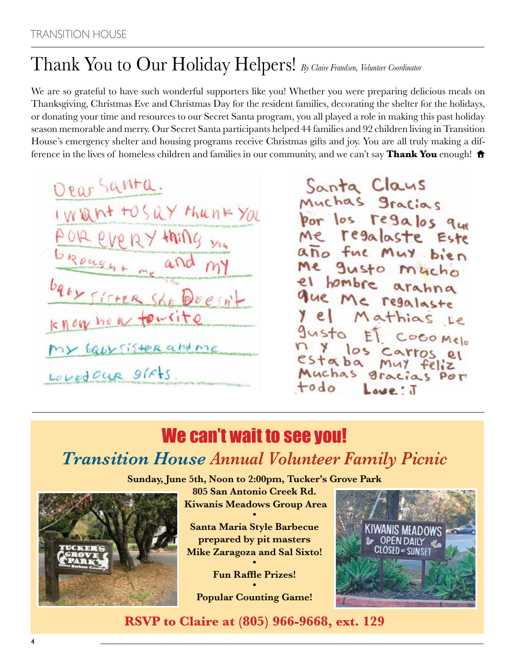# Thank You to Our Holiday Helpers! *By Claire Frandsen, Volunteer Coordinator*

We are so grateful to have such wonderful supporters like you! Whether you were preparing delicious meals on Thanksgiving, Christmas Eve and Christmas Day for the resident families, decorating the shelter for the holidays, or donating your time and resources to our Secret Santa program, you all played a role in making this past holiday season memorable and merry. Our Secret Santa participants helped 44 families and 92 children living in Transition House's emergency shelter and housing programs receive Christmas gifts and joy. You are all truly making a difference in the lives of homeless children and families in our community, and we can't say **Thank You** enough!  $\biguparrow$ 

Dear Santa. I Whit tosay thank you every thing you brought me and MY baox Sister She Doesn't knownow tourite my babysister and me Lovedour girts

Santa Claus<br>Muchas gracias por los regalos que Me regalaste Este año fue Muy bien Me gusto macho el hombre arahna que Me regalaste y el Mathias Le gusto ET COCOMEIO n y los carros el<br>estaba muy feliz<br>Muchas gracias por todo Love: J

# We can't wait to see you! *Transition House Annual Volunteer Family Picnic*

**Sunday, June 5th, Noon to 2:00pm, Tucker's Grove Park**



**805 San Antonio Creek Rd. Kiwanis Meadows Group Area •**

**Santa Maria Style Barbecue prepared by pit masters Mike Zaragoza and Sal Sixto! •**

> **Fun Raffle Prizes! •**

**Popular Counting Game!**



**RSVP to Claire at (805) 966-9668, ext. 129**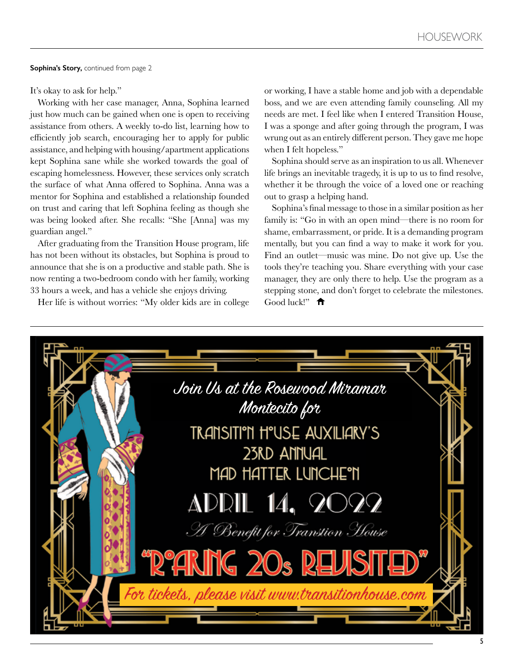**Sophina's Story,** continued from page 2

It's okay to ask for help."

Working with her case manager, Anna, Sophina learned just how much can be gained when one is open to receiving assistance from others. A weekly to-do list, learning how to efficiently job search, encouraging her to apply for public assistance, and helping with housing/apartment applications kept Sophina sane while she worked towards the goal of escaping homelessness. However, these services only scratch the surface of what Anna offered to Sophina. Anna was a mentor for Sophina and established a relationship founded on trust and caring that left Sophina feeling as though she was being looked after. She recalls: "She [Anna] was my guardian angel."

After graduating from the Transition House program, life has not been without its obstacles, but Sophina is proud to announce that she is on a productive and stable path. She is now renting a two-bedroom condo with her family, working 33 hours a week, and has a vehicle she enjoys driving.

Her life is without worries: "My older kids are in college

or working, I have a stable home and job with a dependable boss, and we are even attending family counseling. All my needs are met. I feel like when I entered Transition House, I was a sponge and after going through the program, I was wrung out as an entirely different person. They gave me hope when I felt hopeless."

Sophina should serve as an inspiration to us all. Whenever life brings an inevitable tragedy, it is up to us to find resolve, whether it be through the voice of a loved one or reaching out to grasp a helping hand.

Sophina's final message to those in a similar position as her family is: "Go in with an open mind—there is no room for shame, embarrassment, or pride. It is a demanding program mentally, but you can find a way to make it work for you. Find an outlet—music was mine. Do not give up. Use the tools they're teaching you. Share everything with your case manager, they are only there to help. Use the program as a stepping stone, and don't forget to celebrate the milestones. Good luck!" $\biguparrow$ 

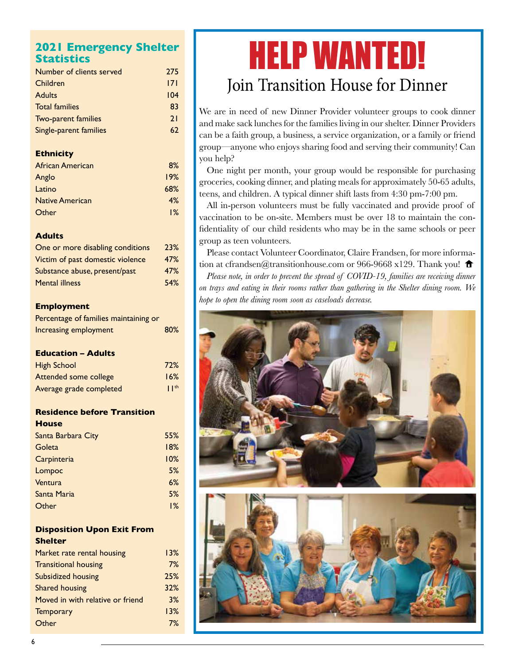#### **2021 Emergency Shelter Statistics**

| Number of clients served | 275 |
|--------------------------|-----|
| Children                 | 171 |
| <b>Adults</b>            | 104 |
| <b>Total families</b>    | 83  |
| Two-parent families      | 21  |
| Single-parent families   | 67  |

#### **Ethnicity**

| African American       | 8%  |  |
|------------------------|-----|--|
| Anglo                  | 19% |  |
| Latino                 | 68% |  |
| <b>Native American</b> | 4%  |  |
| Other                  | 1%  |  |

#### **Adults**

| One or more disabling conditions | 23% |
|----------------------------------|-----|
| Victim of past domestic violence | 47% |
| Substance abuse, present/past    | 47% |
| <b>Mental illness</b>            | 54% |

#### **Employment**

| Percentage of families maintaining or |     |
|---------------------------------------|-----|
| Increasing employment                 | 80% |

#### **Education – Adults**

| <b>High School</b>      | 72%          |
|-------------------------|--------------|
| Attended some college   | 16%          |
| Average grade completed | $\mathsf{I}$ |

#### **Residence before Transition House**

| Santa Barbara City | 55% |
|--------------------|-----|
| Goleta             | 18% |
| Carpinteria        | 10% |
| Lompoc             | 5%  |
| Ventura            | 6%  |
| Santa Maria        | 5%  |
| Other              | 1%  |
|                    |     |

#### **Disposition Upon Exit From Shelter**

| Market rate rental housing       | 13% |
|----------------------------------|-----|
| <b>Transitional housing</b>      | 7%  |
| Subsidized housing               | 25% |
| Shared housing                   | 32% |
| Moved in with relative or friend | 3%  |
| <b>Temporary</b>                 | 13% |
| Other                            | 7%  |
|                                  |     |

# HELP WANTED! Join Transition House for Dinner

We are in need of new Dinner Provider volunteer groups to cook dinner and make sack lunches for the families living in our shelter. Dinner Providers can be a faith group, a business, a service organization, or a family or friend group—anyone who enjoys sharing food and serving their community! Can you help?

One night per month, your group would be responsible for purchasing groceries, cooking dinner, and plating meals for approximately 50-65 adults, teens, and children. A typical dinner shift lasts from 4:30 pm-7:00 pm.

All in-person volunteers must be fully vaccinated and provide proof of vaccination to be on-site. Members must be over 18 to maintain the confidentiality of our child residents who may be in the same schools or peer group as teen volunteers.

Please contact Volunteer Coordinator, Claire Frandsen, for more information at cfrandsen@transitionhouse.com or 966-9668 x129. Thank you!  $\hat{\mathbf{\tau}}$ 

*Please note, in order to prevent the spread of COVID-19, families are receiving dinner on trays and eating in their rooms rather than gathering in the Shelter dining room. We hope to open the dining room soon as caseloads decrease.*

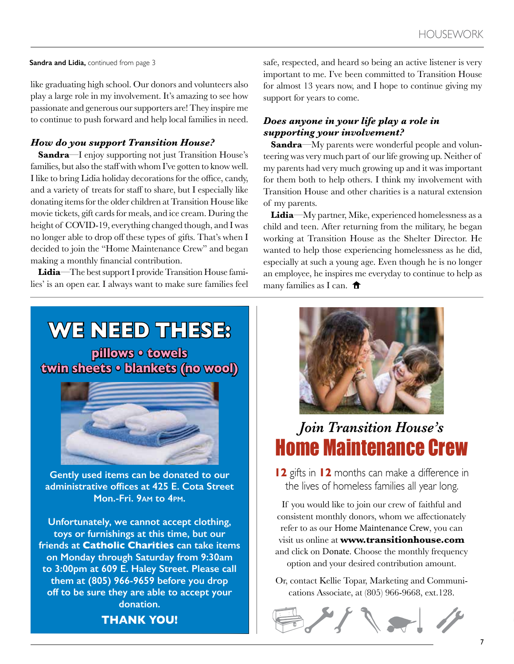#### **Sandra and Lidia,** continued from page 3

like graduating high school. Our donors and volunteers also play a large role in my involvement. It's amazing to see how passionate and generous our supporters are! They inspire me to continue to push forward and help local families in need.

#### *How do you support Transition House?*

**Sandra**—I enjoy supporting not just Transition House's families, but also the staff with whom I've gotten to know well. I like to bring Lidia holiday decorations for the office, candy, and a variety of treats for staff to share, but I especially like donating items for the older children at Transition House like movie tickets, gift cards for meals, and ice cream. During the height of COVID-19, everything changed though, and I was no longer able to drop off these types of gifts. That's when I decided to join the "Home Maintenance Crew" and began making a monthly financial contribution.

**Lidia**—The best support I provide Transition House families' is an open ear. I always want to make sure families feel safe, respected, and heard so being an active listener is very important to me. I've been committed to Transition House for almost 13 years now, and I hope to continue giving my support for years to come.

#### *Does anyone in your life play a role in supporting your involvement?*

**Sandra**—My parents were wonderful people and volunteering was very much part of our life growing up. Neither of my parents had very much growing up and it was important for them both to help others. I think my involvement with Transition House and other charities is a natural extension of my parents.

**Lidia**—My partner, Mike, experienced homelessness as a child and teen. After returning from the military, he began working at Transition House as the Shelter Director. He wanted to help those experiencing homelessness as he did, especially at such a young age. Even though he is no longer an employee, he inspires me everyday to continue to help as many families as I can.  $\hat{\mathbf{\tau}}$ 

### **WE NEED THESE:**

**pillows • towels twin sheets • blankets (no wool)**



**Gently used items can be donated to our administrative offices at 425 E. Cota Street Mon.-Fri. 9am to 4pm.** 

**Unfortunately, we cannot accept clothing, toys or furnishings at this time, but our friends at Catholic Charities can take items on Monday through Saturday from 9:30am to 3:00pm at 609 E. Haley Street. Please call them at (805) 966-9659 before you drop off to be sure they are able to accept your donation.**



### *Join Transition House's* Home Maintenance Crew

**12** gifts in **12** months can make a difference in the lives of homeless families all year long.

If you would like to join our crew of faithful and consistent monthly donors, whom we affectionately refer to as our Home Maintenance Crew, you can visit us online at **www.transitionhouse.com** and click on Donate. Choose the monthly frequency option and your desired contribution amount.

Or, contact Kellie Topar, Marketing and Communications Associate, at (805) 966-9668, ext.128.



**THANK YOU!**